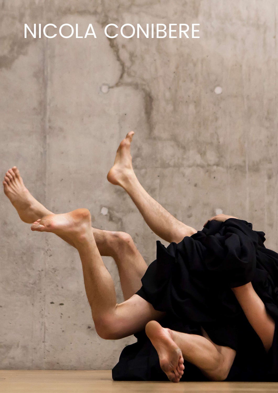## NICOLA CONIBERE